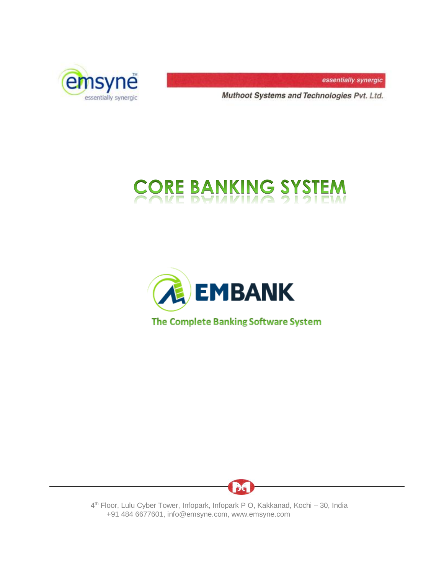

essentially synergic

Muthoot Systems and Technologies Pvt. Ltd.

# **CORE BANKING SYSTE**



The Complete Banking Software System



 4 th Floor, Lulu Cyber Tower, Infopark, Infopark P O, Kakkanad, Kochi – 30, India +91 484 6677601[, info@emsyne.com,](mailto:info@emsyne.com) [www.emsyne.com](http://www.emsyne.com/)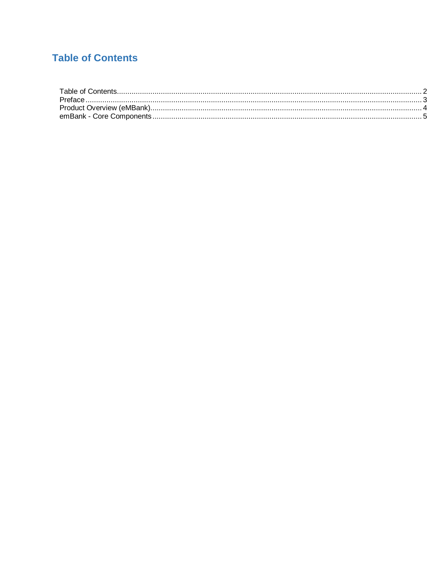# <span id="page-1-0"></span>**Table of Contents**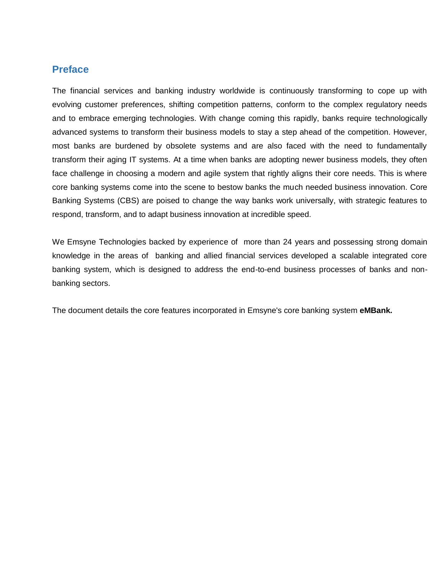# <span id="page-2-0"></span>**Preface**

The financial services and banking industry worldwide is continuously transforming to cope up with evolving customer preferences, shifting competition patterns, conform to the complex regulatory needs and to embrace emerging technologies. With change coming this rapidly, banks require technologically advanced systems to transform their business models to stay a step ahead of the competition. However, most banks are burdened by obsolete systems and are also faced with the need to fundamentally transform their aging IT systems. At a time when banks are adopting newer business models, they often face challenge in choosing a modern and agile system that rightly aligns their core needs. This is where core banking systems come into the scene to bestow banks the much needed business innovation. Core Banking Systems (CBS) are poised to change the way banks work universally, with strategic features to respond, transform, and to adapt business innovation at incredible speed.

We Emsyne Technologies backed by experience of more than 24 years and possessing strong domain knowledge in the areas of banking and allied financial services developed a scalable integrated core banking system, which is designed to address the end-to-end business processes of banks and nonbanking sectors.

The document details the core features incorporated in Emsyne's core banking system **eMBank.**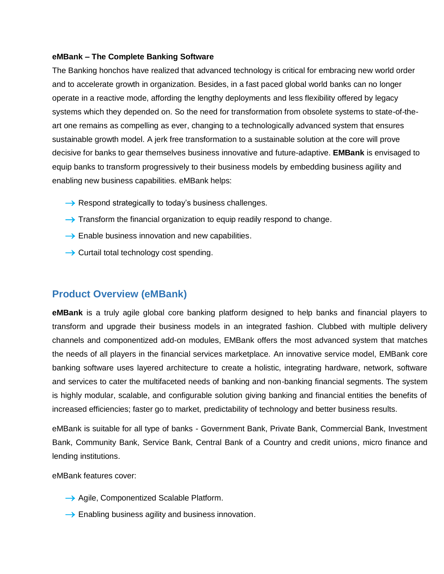### **eMBank – The Complete Banking Software**

The Banking honchos have realized that advanced technology is critical for embracing new world order and to accelerate growth in organization. Besides, in a fast paced global world banks can no longer operate in a reactive mode, affording the lengthy deployments and less flexibility offered by legacy systems which they depended on. So the need for transformation from obsolete systems to state-of-theart one remains as compelling as ever, changing to a technologically advanced system that ensures sustainable growth model. A jerk free transformation to a sustainable solution at the core will prove decisive for banks to gear themselves business innovative and future-adaptive. **EMBank** is envisaged to equip banks to transform progressively to their business models by embedding business agility and enabling new business capabilities. eMBank helps:

- $\rightarrow$  Respond strategically to today's business challenges.
- $\rightarrow$  Transform the financial organization to equip readily respond to change.
- $\rightarrow$  Enable business innovation and new capabilities.
- $\rightarrow$  Curtail total technology cost spending.

# <span id="page-3-0"></span>**Product Overview (eMBank)**

**eMBank** is a truly agile global core banking platform designed to help banks and financial players to transform and upgrade their business models in an integrated fashion. Clubbed with multiple delivery channels and componentized add-on modules, EMBank offers the most advanced system that matches the needs of all players in the financial services marketplace. An innovative service model, EMBank core banking software uses layered architecture to create a holistic, integrating hardware, network, software and services to cater the multifaceted needs of banking and non-banking financial segments. The system is highly modular, scalable, and configurable solution giving banking and financial entities the benefits of increased efficiencies; faster go to market, predictability of technology and better business results.

eMBank is suitable for all type of banks - Government Bank, Private Bank, Commercial Bank, Investment Bank, Community Bank, Service Bank, Central Bank of a Country and credit unions, micro finance and lending institutions.

eMBank features cover:

- $\rightarrow$  Agile, Componentized Scalable Platform.
- $\rightarrow$  Enabling business agility and business innovation.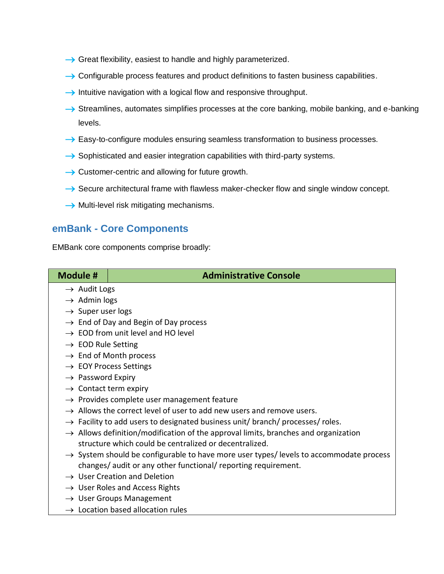- $\rightarrow$  Great flexibility, easiest to handle and highly parameterized.
- $\rightarrow$  Configurable process features and product definitions to fasten business capabilities.
- $\rightarrow$  Intuitive navigation with a logical flow and responsive throughput.
- $\rightarrow$  Streamlines, automates simplifies processes at the core banking, mobile banking, and e-banking levels.
- $\rightarrow$  Easy-to-configure modules ensuring seamless transformation to business processes.
- $\rightarrow$  Sophisticated and easier integration capabilities with third-party systems.
- $\rightarrow$  Customer-centric and allowing for future growth.
- $\rightarrow$  Secure architectural frame with flawless maker-checker flow and single window concept.
- $\rightarrow$  Multi-level risk mitigating mechanisms.

# <span id="page-4-0"></span>**emBank - Core Components**

EMBank core components comprise broadly:

| <b>Module #</b>                   | <b>Administrative Console</b>                                                                     |
|-----------------------------------|---------------------------------------------------------------------------------------------------|
| $\rightarrow$ Audit Logs          |                                                                                                   |
| $\rightarrow$ Admin logs          |                                                                                                   |
| $\rightarrow$ Super user logs     |                                                                                                   |
|                                   | $\rightarrow$ End of Day and Begin of Day process                                                 |
|                                   | $\rightarrow$ EOD from unit level and HO level                                                    |
| $\rightarrow$ EOD Rule Setting    |                                                                                                   |
|                                   | $\rightarrow$ End of Month process                                                                |
|                                   | $\rightarrow$ EOY Process Settings                                                                |
| $\rightarrow$ Password Expiry     |                                                                                                   |
| $\rightarrow$ Contact term expiry |                                                                                                   |
|                                   | $\rightarrow$ Provides complete user management feature                                           |
|                                   | $\rightarrow$ Allows the correct level of user to add new users and remove users.                 |
|                                   | $\rightarrow$ Facility to add users to designated business unit/ branch/ processes/ roles.        |
|                                   | $\rightarrow$ Allows definition/modification of the approval limits, branches and organization    |
|                                   | structure which could be centralized or decentralized.                                            |
|                                   | $\rightarrow$ System should be configurable to have more user types/levels to accommodate process |
|                                   | changes/ audit or any other functional/ reporting requirement.                                    |
|                                   | $\rightarrow$ User Creation and Deletion                                                          |
|                                   | $\rightarrow$ User Roles and Access Rights                                                        |
|                                   | $\rightarrow$ User Groups Management                                                              |
|                                   | $\rightarrow$ Location based allocation rules                                                     |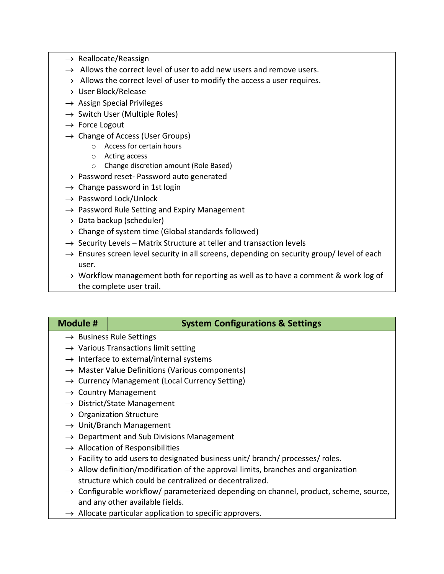- $\rightarrow$  Reallocate/Reassign
- $\rightarrow$  Allows the correct level of user to add new users and remove users.
- $\rightarrow$  Allows the correct level of user to modify the access a user requires.
- $\rightarrow$  User Block/Release
- $\rightarrow$  Assign Special Privileges
- $\rightarrow$  Switch User (Multiple Roles)
- $\rightarrow$  Force Logout
- $\rightarrow$  Change of Access (User Groups)
	- o Access for certain hours
	- o Acting access
	- o Change discretion amount (Role Based)
- $\rightarrow$  Password reset- Password auto generated
- $\rightarrow$  Change password in 1st login
- $\rightarrow$  Password Lock/Unlock
- $\rightarrow$  Password Rule Setting and Expiry Management
- $\rightarrow$  Data backup (scheduler)
- $\rightarrow$  Change of system time (Global standards followed)
- $\rightarrow$  Security Levels Matrix Structure at teller and transaction levels
- $\rightarrow$  Ensures screen level security in all screens, depending on security group/ level of each user.
- $\rightarrow$  Workflow management both for reporting as well as to have a comment & work log of the complete user trail.

# **Module # System Configurations & Settings**  $\rightarrow$  Business Rule Settings  $\rightarrow$  Various Transactions limit setting  $\rightarrow$  Interface to external/internal systems  $\rightarrow$  Master Value Definitions (Various components)  $\rightarrow$  Currency Management (Local Currency Setting)  $\rightarrow$  Country Management  $\rightarrow$  District/State Management  $\rightarrow$  Organization Structure  $\rightarrow$  Unit/Branch Management  $\rightarrow$  Department and Sub Divisions Management  $\rightarrow$  Allocation of Responsibilities

- $\rightarrow$  Facility to add users to designated business unit/ branch/ processes/ roles.
- $\rightarrow$  Allow definition/modification of the approval limits, branches and organization structure which could be centralized or decentralized.
- $\rightarrow$  Configurable workflow/ parameterized depending on channel, product, scheme, source, and any other available fields.
- $\rightarrow$  Allocate particular application to specific approvers.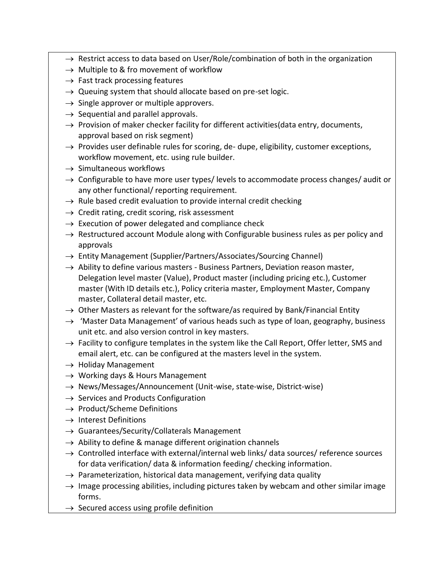- $\rightarrow$  Restrict access to data based on User/Role/combination of both in the organization
- $\rightarrow$  Multiple to & fro movement of workflow
- $\rightarrow$  Fast track processing features
- $\rightarrow$  Queuing system that should allocate based on pre-set logic.
- $\rightarrow$  Single approver or multiple approvers.
- $\rightarrow$  Sequential and parallel approvals.
- $\rightarrow$  Provision of maker checker facility for different activities (data entry, documents, approval based on risk segment)
- $\rightarrow$  Provides user definable rules for scoring, de- dupe, eligibility, customer exceptions, workflow movement, etc. using rule builder.
- $\rightarrow$  Simultaneous workflows
- $\rightarrow$  Configurable to have more user types/levels to accommodate process changes/ audit or any other functional/ reporting requirement.
- $\rightarrow$  Rule based credit evaluation to provide internal credit checking
- $\rightarrow$  Credit rating, credit scoring, risk assessment
- $\rightarrow$  Execution of power delegated and compliance check
- $\rightarrow$  Restructured account Module along with Configurable business rules as per policy and approvals
- $\rightarrow$  Entity Management (Supplier/Partners/Associates/Sourcing Channel)
- $\rightarrow$  Ability to define various masters Business Partners, Deviation reason master, Delegation level master (Value), Product master (including pricing etc.), Customer master (With ID details etc.), Policy criteria master, Employment Master, Company master, Collateral detail master, etc.
- $\rightarrow$  Other Masters as relevant for the software/as required by Bank/Financial Entity
- $\rightarrow$  'Master Data Management' of various heads such as type of loan, geography, business unit etc. and also version control in key masters.
- $\rightarrow$  Facility to configure templates in the system like the Call Report, Offer letter, SMS and email alert, etc. can be configured at the masters level in the system.
- $\rightarrow$  Holiday Management
- $\rightarrow$  Working days & Hours Management
- $\rightarrow$  News/Messages/Announcement (Unit-wise, state-wise, District-wise)
- $\rightarrow$  Services and Products Configuration
- $\rightarrow$  Product/Scheme Definitions
- $\rightarrow$  Interest Definitions
- $\rightarrow$  Guarantees/Security/Collaterals Management
- $\rightarrow$  Ability to define & manage different origination channels
- $\rightarrow$  Controlled interface with external/internal web links/ data sources/ reference sources for data verification/ data & information feeding/ checking information.
- $\rightarrow$  Parameterization, historical data management, verifying data quality
- $\rightarrow$  Image processing abilities, including pictures taken by webcam and other similar image forms.
- $\rightarrow$  Secured access using profile definition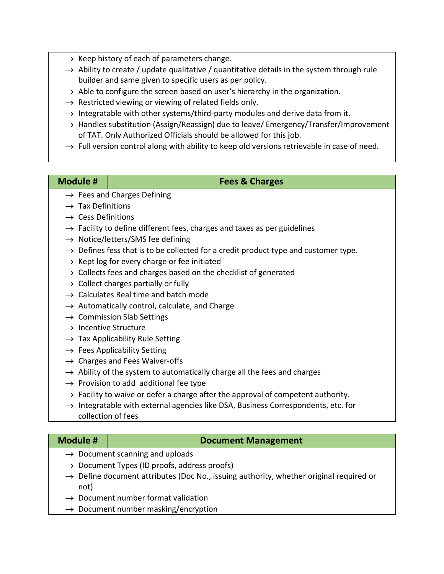- $\rightarrow$  Keep history of each of parameters change.
- $\rightarrow$  Ability to create / update qualitative / quantitative details in the system through rule builder and same given to specific users as per policy.
- $\rightarrow$  Able to configure the screen based on user's hierarchy in the organization.
- $\rightarrow$  Restricted viewing or viewing of related fields only.
- $\rightarrow$  Integratable with other systems/third-party modules and derive data from it.
- $\rightarrow$  Handles substitution (Assign/Reassign) due to leave/ Emergency/Transfer/Improvement of TAT. Only Authorized Officials should be allowed for this job.
- $\rightarrow$  Full version control along with ability to keep old versions retrievable in case of need.

# **Module # Fees & Charges**

- $\rightarrow$  Fees and Charges Defining
- $\rightarrow$  Tax Definitions
- $\rightarrow$  Cess Definitions
- $\rightarrow$  Facility to define different fees, charges and taxes as per guidelines
- $\rightarrow$  Notice/letters/SMS fee defining
- $\rightarrow$  Defines fess that is to be collected for a credit product type and customer type.
- $\rightarrow$  Kept log for every charge or fee initiated
- $\rightarrow$  Collects fees and charges based on the checklist of generated
- $\rightarrow$  Collect charges partially or fully
- $\rightarrow$  Calculates Real time and batch mode
- $\rightarrow$  Automatically control, calculate, and Charge
- $\rightarrow$  Commission Slab Settings
- $\rightarrow$  Incentive Structure
- $\rightarrow$  Tax Applicability Rule Setting
- $\rightarrow$  Fees Applicability Setting
- $\rightarrow$  Charges and Fees Waiver-offs
- $\rightarrow$  Ability of the system to automatically charge all the fees and charges
- $\rightarrow$  Provision to add additional fee type
- $\rightarrow$  Facility to waive or defer a charge after the approval of competent authority.
- $\rightarrow$  Integratable with external agencies like DSA, Business Correspondents, etc. for collection of fees

# **Module # Document Management**

- $\rightarrow$  Document scanning and uploads
- $\rightarrow$  Document Types (ID proofs, address proofs)
- $\rightarrow$  Define document attributes (Doc No., issuing authority, whether original required or not)
- $\rightarrow$  Document number format validation
- $\rightarrow$  Document number masking/encryption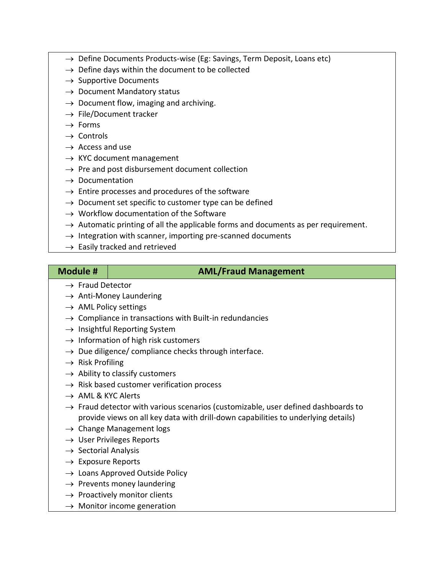- $\rightarrow$  Define Documents Products-wise (Eg: Savings, Term Deposit, Loans etc)
- $\rightarrow$  Define days within the document to be collected
- $\rightarrow$  Supportive Documents
- $\rightarrow$  Document Mandatory status
- $\rightarrow$  Document flow, imaging and archiving.
- $\rightarrow$  File/Document tracker
- $\rightarrow$  Forms
- $\rightarrow$  Controls
- $\rightarrow$  Access and use
- $\rightarrow$  KYC document management
- $\rightarrow$  Pre and post disbursement document collection
- $\rightarrow$  Documentation
- $\rightarrow$  Entire processes and procedures of the software
- $\rightarrow$  Document set specific to customer type can be defined
- $\rightarrow$  Workflow documentation of the Software
- $\rightarrow$  Automatic printing of all the applicable forms and documents as per requirement.
- $\rightarrow$  Integration with scanner, importing pre-scanned documents
- $\rightarrow$  Easily tracked and retrieved

# **Module # AML/Fraud Management**

- $\rightarrow$  Fraud Detector
- $\rightarrow$  Anti-Money Laundering
- $\rightarrow$  AML Policy settings
- $\rightarrow$  Compliance in transactions with Built-in redundancies
- $\rightarrow$  Insightful Reporting System
- $\rightarrow$  Information of high risk customers
- $\rightarrow$  Due diligence/ compliance checks through interface.
- $\rightarrow$  Risk Profiling
- $\rightarrow$  Ability to classify customers
- $\rightarrow$  Risk based customer verification process
- $\rightarrow$  AML & KYC Alerts
- $\rightarrow$  Fraud detector with various scenarios (customizable, user defined dashboards to provide views on all key data with drill-down capabilities to underlying details)
- $\rightarrow$  Change Management logs
- $\rightarrow$  User Privileges Reports
- $\rightarrow$  Sectorial Analysis
- $\rightarrow$  Exposure Reports
- $\rightarrow$  Loans Approved Outside Policy
- $\rightarrow$  Prevents money laundering
- $\rightarrow$  Proactively monitor clients
- $\rightarrow$  Monitor income generation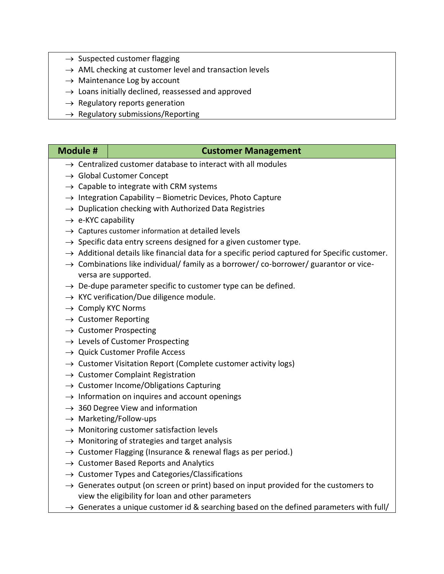- $\rightarrow$  Suspected customer flagging
- $\rightarrow$  AML checking at customer level and transaction levels
- $\rightarrow$  Maintenance Log by account
- $\rightarrow$  Loans initially declined, reassessed and approved
- $\rightarrow$  Regulatory reports generation
- $\rightarrow$  Regulatory submissions/Reporting

# **Module # Customer Management**

- $\rightarrow$  Centralized customer database to interact with all modules
- $\rightarrow$  Global Customer Concept
- $\rightarrow$  Capable to integrate with CRM systems
- $\rightarrow$  Integration Capability Biometric Devices, Photo Capture
- $\rightarrow$  Duplication checking with Authorized Data Registries
- $\rightarrow$  e-KYC capability
- $\rightarrow$  Captures customer information at detailed levels
- $\rightarrow$  Specific data entry screens designed for a given customer type.
- $\rightarrow$  Additional details like financial data for a specific period captured for Specific customer.
- $\rightarrow$  Combinations like individual/ family as a borrower/ co-borrower/ guarantor or viceversa are supported.
- $\rightarrow$  De-dupe parameter specific to customer type can be defined.
- $\rightarrow$  KYC verification/Due diligence module.
- $\rightarrow$  Comply KYC Norms
- $\rightarrow$  Customer Reporting
- $\rightarrow$  Customer Prospecting
- $\rightarrow$  Levels of Customer Prospecting
- $\rightarrow$  Quick Customer Profile Access
- $\rightarrow$  Customer Visitation Report (Complete customer activity logs)
- $\rightarrow$  Customer Complaint Registration
- $\rightarrow$  Customer Income/Obligations Capturing
- $\rightarrow$  Information on inquires and account openings
- $\rightarrow$  360 Degree View and information
- $\rightarrow$  Marketing/Follow-ups
- $\rightarrow$  Monitoring customer satisfaction levels
- $\rightarrow$  Monitoring of strategies and target analysis
- $\rightarrow$  Customer Flagging (Insurance & renewal flags as per period.)
- $\rightarrow$  Customer Based Reports and Analytics
- $\rightarrow$  Customer Types and Categories/Classifications
- $\rightarrow$  Generates output (on screen or print) based on input provided for the customers to view the eligibility for loan and other parameters
- $\rightarrow$  Generates a unique customer id & searching based on the defined parameters with full/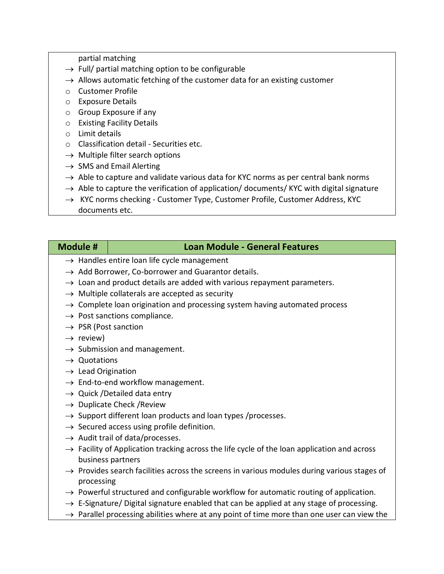partial matching

- $\rightarrow$  Full/ partial matching option to be configurable
- $\rightarrow$  Allows automatic fetching of the customer data for an existing customer
- o Customer Profile
- o Exposure Details
- o Group Exposure if any
- o Existing Facility Details
- o Limit details
- o Classification detail Securities etc.
- $\rightarrow$  Multiple filter search options
- $\rightarrow$  SMS and Email Alerting
- $\rightarrow$  Able to capture and validate various data for KYC norms as per central bank norms
- $\rightarrow$  Able to capture the verification of application/ documents/ KYC with digital signature
- $\rightarrow$  KYC norms checking Customer Type, Customer Profile, Customer Address, KYC documents etc.

- **Module # Loan Module - General Features**
	- $\rightarrow$  Handles entire loan life cycle management
	- $\rightarrow$  Add Borrower, Co-borrower and Guarantor details.
	- $\rightarrow$  Loan and product details are added with various repayment parameters.
	- $\rightarrow$  Multiple collaterals are accepted as security
	- $\rightarrow$  Complete loan origination and processing system having automated process
	- $\rightarrow$  Post sanctions compliance.
	- $\rightarrow$  PSR (Post sanction
	- $\rightarrow$  review)
	- $\rightarrow$  Submission and management.
	- $\rightarrow$  Quotations
	- $\rightarrow$  Lead Origination
	- $\rightarrow$  End-to-end workflow management.
	- $\rightarrow$  Quick /Detailed data entry
	- $\rightarrow$  Duplicate Check /Review
	- $\rightarrow$  Support different loan products and loan types /processes.
	- $\rightarrow$  Secured access using profile definition.
	- $\rightarrow$  Audit trail of data/processes.
	- $\rightarrow$  Facility of Application tracking across the life cycle of the loan application and across business partners
	- $\rightarrow$  Provides search facilities across the screens in various modules during various stages of processing
	- $\rightarrow$  Powerful structured and configurable workflow for automatic routing of application.
	- $\rightarrow$  E-Signature/ Digital signature enabled that can be applied at any stage of processing.
	- $\rightarrow$  Parallel processing abilities where at any point of time more than one user can view the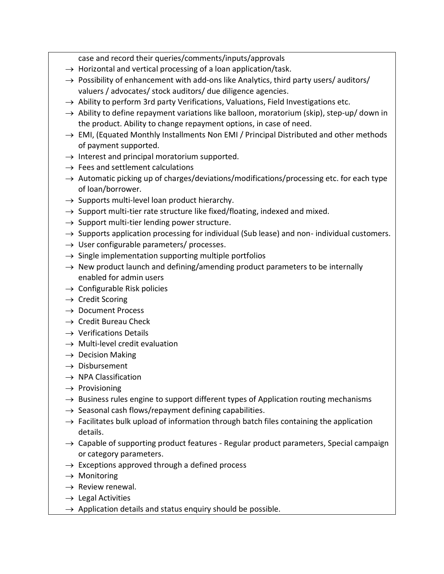case and record their queries/comments/inputs/approvals

- $\rightarrow$  Horizontal and vertical processing of a loan application/task.
- $\rightarrow$  Possibility of enhancement with add-ons like Analytics, third party users/ auditors/ valuers / advocates/ stock auditors/ due diligence agencies.
- $\rightarrow$  Ability to perform 3rd party Verifications, Valuations, Field Investigations etc.
- $\rightarrow$  Ability to define repayment variations like balloon, moratorium (skip), step-up/ down in the product. Ability to change repayment options, in case of need.
- $\rightarrow$  EMI, (Equated Monthly Installments Non EMI / Principal Distributed and other methods of payment supported.
- $\rightarrow$  Interest and principal moratorium supported.
- $\rightarrow$  Fees and settlement calculations
- $\rightarrow$  Automatic picking up of charges/deviations/modifications/processing etc. for each type of loan/borrower.
- $\rightarrow$  Supports multi-level loan product hierarchy.
- $\rightarrow$  Support multi-tier rate structure like fixed/floating, indexed and mixed.
- $\rightarrow$  Support multi-tier lending power structure.
- $\rightarrow$  Supports application processing for individual (Sub lease) and non- individual customers.
- $\rightarrow$  User configurable parameters/ processes.
- $\rightarrow$  Single implementation supporting multiple portfolios
- $\rightarrow$  New product launch and defining/amending product parameters to be internally enabled for admin users
- $\rightarrow$  Configurable Risk policies
- $\rightarrow$  Credit Scoring
- $\rightarrow$  Document Process
- $\rightarrow$  Credit Bureau Check
- $\rightarrow$  Verifications Details
- $\rightarrow$  Multi-level credit evaluation
- $\rightarrow$  Decision Making
- $\rightarrow$  Disbursement
- $\rightarrow$  NPA Classification
- $\rightarrow$  Provisioning
- $\rightarrow$  Business rules engine to support different types of Application routing mechanisms
- $\rightarrow$  Seasonal cash flows/repayment defining capabilities.
- $\rightarrow$  Facilitates bulk upload of information through batch files containing the application details.
- $\rightarrow$  Capable of supporting product features Regular product parameters, Special campaign or category parameters.
- $\rightarrow$  Exceptions approved through a defined process
- $\rightarrow$  Monitoring
- $\rightarrow$  Review renewal.
- $\rightarrow$  Legal Activities
- $\rightarrow$  Application details and status enquiry should be possible.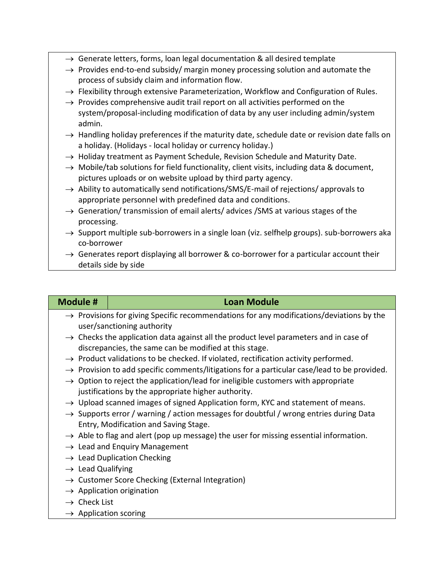- $\rightarrow$  Generate letters, forms, loan legal documentation & all desired template
- $\rightarrow$  Provides end-to-end subsidy/ margin money processing solution and automate the process of subsidy claim and information flow.
- $\rightarrow$  Flexibility through extensive Parameterization, Workflow and Configuration of Rules.
- $\rightarrow$  Provides comprehensive audit trail report on all activities performed on the system/proposal-including modification of data by any user including admin/system admin.
- $\rightarrow$  Handling holiday preferences if the maturity date, schedule date or revision date falls on a holiday. (Holidays - local holiday or currency holiday.)
- $\rightarrow$  Holiday treatment as Payment Schedule, Revision Schedule and Maturity Date.
- $\rightarrow$  Mobile/tab solutions for field functionality, client visits, including data & document, pictures uploads or on website upload by third party agency.
- $\rightarrow$  Ability to automatically send notifications/SMS/E-mail of rejections/ approvals to appropriate personnel with predefined data and conditions.
- $\rightarrow$  Generation/ transmission of email alerts/ advices /SMS at various stages of the processing.
- $\rightarrow$  Support multiple sub-borrowers in a single loan (viz. selfhelp groups). sub-borrowers aka co-borrower
- $\rightarrow$  Generates report displaying all borrower & co-borrower for a particular account their details side by side

# **Module # Loan Module**

- $\rightarrow$  Provisions for giving Specific recommendations for any modifications/deviations by the user/sanctioning authority
- $\rightarrow$  Checks the application data against all the product level parameters and in case of discrepancies, the same can be modified at this stage.
- $\rightarrow$  Product validations to be checked. If violated, rectification activity performed.
- $\rightarrow$  Provision to add specific comments/litigations for a particular case/lead to be provided.
- $\rightarrow$  Option to reject the application/lead for ineligible customers with appropriate justifications by the appropriate higher authority.
- $\rightarrow$  Upload scanned images of signed Application form, KYC and statement of means.
- $\rightarrow$  Supports error / warning / action messages for doubtful / wrong entries during Data Entry, Modification and Saving Stage.
- $\rightarrow$  Able to flag and alert (pop up message) the user for missing essential information.
- $\rightarrow$  Lead and Enquiry Management
- $\rightarrow$  Lead Duplication Checking
- $\rightarrow$  Lead Qualifying
- $\rightarrow$  Customer Score Checking (External Integration)
- $\rightarrow$  Application origination
- $\rightarrow$  Check List
- $\rightarrow$  Application scoring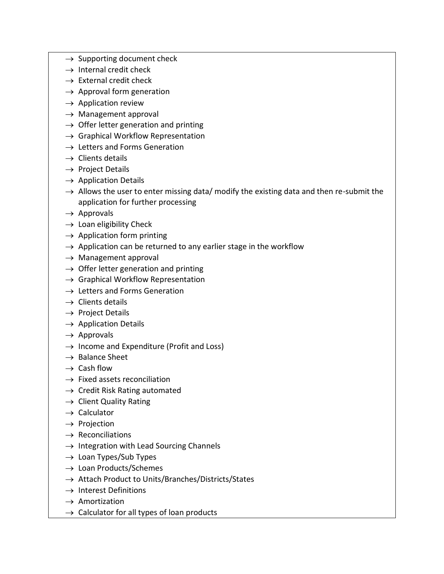- $\rightarrow$  Supporting document check
- $\rightarrow$  Internal credit check
- $\rightarrow$  External credit check
- $\rightarrow$  Approval form generation
- $\rightarrow$  Application review
- $\rightarrow$  Management approval
- $\rightarrow$  Offer letter generation and printing
- $\rightarrow$  Graphical Workflow Representation
- $\rightarrow$  Letters and Forms Generation
- $\rightarrow$  Clients details
- $\rightarrow$  Project Details
- $\rightarrow$  Application Details
- $\rightarrow$  Allows the user to enter missing data/ modify the existing data and then re-submit the application for further processing
- $\rightarrow$  Approvals
- $\rightarrow$  Loan eligibility Check
- $\rightarrow$  Application form printing
- $\rightarrow$  Application can be returned to any earlier stage in the workflow
- $\rightarrow$  Management approval
- $\rightarrow$  Offer letter generation and printing
- $\rightarrow$  Graphical Workflow Representation
- $\rightarrow$  Letters and Forms Generation
- $\rightarrow$  Clients details
- $\rightarrow$  Project Details
- $\rightarrow$  Application Details
- $\rightarrow$  Approvals
- $\rightarrow$  Income and Expenditure (Profit and Loss)
- $\rightarrow$  Balance Sheet
- $\rightarrow$  Cash flow
- $\rightarrow$  Fixed assets reconciliation
- $\rightarrow$  Credit Risk Rating automated
- $\rightarrow$  Client Quality Rating
- $\rightarrow$  Calculator
- $\rightarrow$  Projection
- $\rightarrow$  Reconciliations
- $\rightarrow$  Integration with Lead Sourcing Channels
- $\rightarrow$  Loan Types/Sub Types
- $\rightarrow$  Loan Products/Schemes
- $\rightarrow$  Attach Product to Units/Branches/Districts/States
- $\rightarrow$  Interest Definitions
- $\rightarrow$  Amortization
- $\rightarrow$  Calculator for all types of loan products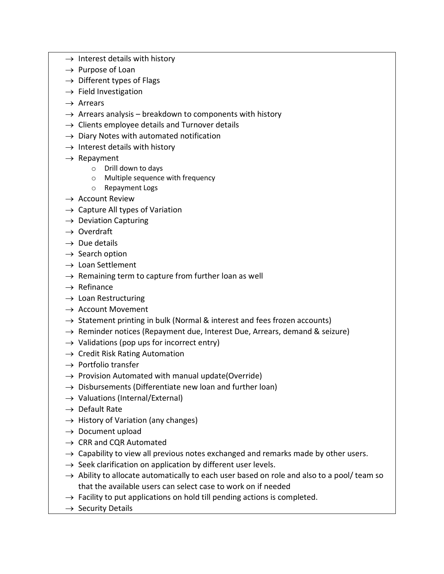- $\rightarrow$  Interest details with history
- $\rightarrow$  Purpose of Loan
- $\rightarrow$  Different types of Flags
- $\rightarrow$  Field Investigation
- $\rightarrow$  Arrears
- $\rightarrow$  Arrears analysis breakdown to components with history
- $\rightarrow$  Clients employee details and Turnover details
- $\rightarrow$  Diary Notes with automated notification
- $\rightarrow$  Interest details with history
- $\rightarrow$  Repayment
	- o Drill down to days
	- o Multiple sequence with frequency
	- o Repayment Logs
- $\rightarrow$  Account Review
- $\rightarrow$  Capture All types of Variation
- $\rightarrow$  Deviation Capturing
- $\rightarrow$  Overdraft
- $\rightarrow$  Due details
- $\rightarrow$  Search option
- $\rightarrow$  Loan Settlement
- $\rightarrow$  Remaining term to capture from further loan as well
- $\rightarrow$  Refinance
- $\rightarrow$  Loan Restructuring
- $\rightarrow$  Account Movement
- $\rightarrow$  Statement printing in bulk (Normal & interest and fees frozen accounts)
- $\rightarrow$  Reminder notices (Repayment due, Interest Due, Arrears, demand & seizure)
- $\rightarrow$  Validations (pop ups for incorrect entry)
- $\rightarrow$  Credit Risk Rating Automation
- $\rightarrow$  Portfolio transfer
- $\rightarrow$  Provision Automated with manual update(Override)
- $\rightarrow$  Disbursements (Differentiate new loan and further loan)
- $\rightarrow$  Valuations (Internal/External)
- $\rightarrow$  Default Rate
- $\rightarrow$  History of Variation (any changes)
- $\rightarrow$  Document upload
- $\rightarrow$  CRR and CQR Automated
- $\rightarrow$  Capability to view all previous notes exchanged and remarks made by other users.
- $\rightarrow$  Seek clarification on application by different user levels.
- $\rightarrow$  Ability to allocate automatically to each user based on role and also to a pool/ team so that the available users can select case to work on if needed
- $\rightarrow$  Facility to put applications on hold till pending actions is completed.
- $\rightarrow$  Security Details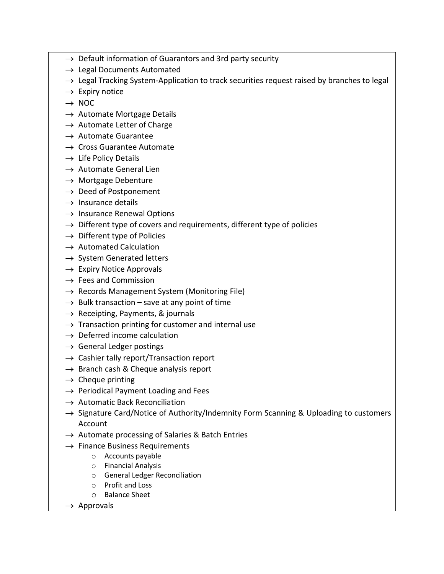- $\rightarrow$  Default information of Guarantors and 3rd party security
- $\rightarrow$  Legal Documents Automated
- $\rightarrow$  Legal Tracking System-Application to track securities request raised by branches to legal
- $\rightarrow$  Expiry notice
- $\rightarrow$  NOC
- $\rightarrow$  Automate Mortgage Details
- $\rightarrow$  Automate Letter of Charge
- $\rightarrow$  Automate Guarantee
- $\rightarrow$  Cross Guarantee Automate
- $\rightarrow$  Life Policy Details
- $\rightarrow$  Automate General Lien
- $\rightarrow$  Mortgage Debenture
- $\rightarrow$  Deed of Postponement
- $\rightarrow$  Insurance details
- $\rightarrow$  Insurance Renewal Options
- $\rightarrow$  Different type of covers and requirements, different type of policies
- $\rightarrow$  Different type of Policies
- $\rightarrow$  Automated Calculation
- $\rightarrow$  System Generated letters
- $\rightarrow$  Expiry Notice Approvals
- $\rightarrow$  Fees and Commission
- $\rightarrow$  Records Management System (Monitoring File)
- $\rightarrow$  Bulk transaction save at any point of time
- $\rightarrow$  Receipting, Payments, & journals
- $\rightarrow$  Transaction printing for customer and internal use
- $\rightarrow$  Deferred income calculation
- $\rightarrow$  General Ledger postings
- $\rightarrow$  Cashier tally report/Transaction report
- $\rightarrow$  Branch cash & Cheque analysis report
- $\rightarrow$  Cheque printing
- $\rightarrow$  Periodical Payment Loading and Fees
- $\rightarrow$  Automatic Back Reconciliation
- $\rightarrow$  Signature Card/Notice of Authority/Indemnity Form Scanning & Uploading to customers Account
- $\rightarrow$  Automate processing of Salaries & Batch Entries
- $\rightarrow$  Finance Business Requirements
	- o Accounts payable
	- o Financial Analysis
	- o General Ledger Reconciliation
	- o Profit and Loss
	- o Balance Sheet
- $\rightarrow$  Approvals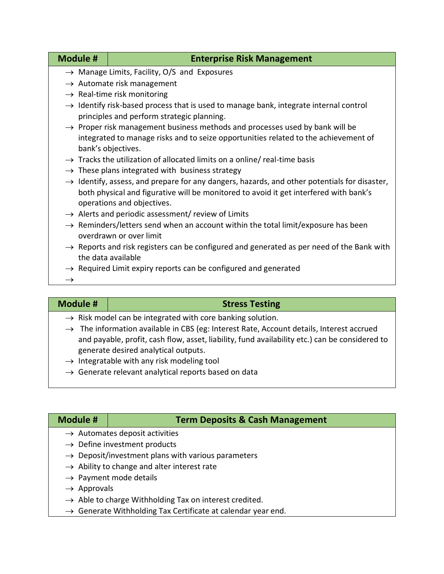| <b>Module #</b> |                                                                                                   | <b>Enterprise Risk Management</b>                                                                                                                                                                                               |  |  |
|-----------------|---------------------------------------------------------------------------------------------------|---------------------------------------------------------------------------------------------------------------------------------------------------------------------------------------------------------------------------------|--|--|
|                 |                                                                                                   | $\rightarrow$ Manage Limits, Facility, O/S and Exposures                                                                                                                                                                        |  |  |
|                 | $\rightarrow$ Automate risk management                                                            |                                                                                                                                                                                                                                 |  |  |
|                 | $\rightarrow$ Real-time risk monitoring                                                           |                                                                                                                                                                                                                                 |  |  |
|                 | $\rightarrow$ Identify risk-based process that is used to manage bank, integrate internal control |                                                                                                                                                                                                                                 |  |  |
|                 |                                                                                                   | principles and perform strategic planning.                                                                                                                                                                                      |  |  |
|                 |                                                                                                   | $\rightarrow$ Proper risk management business methods and processes used by bank will be                                                                                                                                        |  |  |
|                 |                                                                                                   | integrated to manage risks and to seize opportunities related to the achievement of<br>bank's objectives.                                                                                                                       |  |  |
|                 |                                                                                                   | $\rightarrow$ Tracks the utilization of allocated limits on a online/ real-time basis                                                                                                                                           |  |  |
|                 |                                                                                                   | $\rightarrow$ These plans integrated with business strategy                                                                                                                                                                     |  |  |
|                 |                                                                                                   | $\rightarrow$ Identify, assess, and prepare for any dangers, hazards, and other potentials for disaster,<br>both physical and figurative will be monitored to avoid it get interfered with bank's<br>operations and objectives. |  |  |
|                 |                                                                                                   | $\rightarrow$ Alerts and periodic assessment/ review of Limits                                                                                                                                                                  |  |  |
|                 |                                                                                                   | $\rightarrow$ Reminders/letters send when an account within the total limit/exposure has been<br>overdrawn or over limit                                                                                                        |  |  |
|                 |                                                                                                   | $\rightarrow$ Reports and risk registers can be configured and generated as per need of the Bank with<br>the data available                                                                                                     |  |  |
|                 |                                                                                                   | $\rightarrow$ Required Limit expiry reports can be configured and generated                                                                                                                                                     |  |  |
| $\rightarrow$   |                                                                                                   |                                                                                                                                                                                                                                 |  |  |

# **Module # Stress Testing**

- $\rightarrow$  Risk model can be integrated with core banking solution.
- $\rightarrow$  The information available in CBS (eg: Interest Rate, Account details, Interest accrued and payable, profit, cash flow, asset, liability, fund availability etc.) can be considered to generate desired analytical outputs.
- $\rightarrow$  Integratable with any risk modeling tool
- $\rightarrow$  Generate relevant analytical reports based on data

| <b>Module #</b> | <b>Term Deposits &amp; Cash Management</b>                     |  |
|-----------------|----------------------------------------------------------------|--|
|                 | $\rightarrow$ Automates deposit activities                     |  |
|                 | $\rightarrow$ Define investment products                       |  |
|                 | $\rightarrow$ Deposit/investment plans with various parameters |  |
|                 | $\rightarrow$ Ability to change and alter interest rate        |  |
|                 | $\rightarrow$ Payment mode details                             |  |

- $\rightarrow$  Approvals
- $\rightarrow$  Able to charge Withholding Tax on interest credited.
- $\rightarrow$  Generate Withholding Tax Certificate at calendar year end.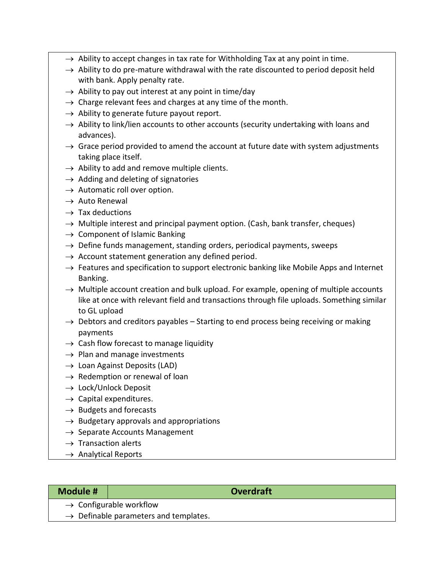- $\rightarrow$  Ability to accept changes in tax rate for Withholding Tax at any point in time.
- $\rightarrow$  Ability to do pre-mature withdrawal with the rate discounted to period deposit held with bank. Apply penalty rate.
- $\rightarrow$  Ability to pay out interest at any point in time/day
- $\rightarrow$  Charge relevant fees and charges at any time of the month.
- $\rightarrow$  Ability to generate future payout report.
- $\rightarrow$  Ability to link/lien accounts to other accounts (security undertaking with loans and advances).
- $\rightarrow$  Grace period provided to amend the account at future date with system adjustments taking place itself.
- $\rightarrow$  Ability to add and remove multiple clients.
- $\rightarrow$  Adding and deleting of signatories
- $\rightarrow$  Automatic roll over option.
- $\rightarrow$  Auto Renewal
- $\rightarrow$  Tax deductions
- $\rightarrow$  Multiple interest and principal payment option. (Cash, bank transfer, cheques)
- $\rightarrow$  Component of Islamic Banking
- $\rightarrow$  Define funds management, standing orders, periodical payments, sweeps
- $\rightarrow$  Account statement generation any defined period.
- $\rightarrow$  Features and specification to support electronic banking like Mobile Apps and Internet Banking.
- $\rightarrow$  Multiple account creation and bulk upload. For example, opening of multiple accounts like at once with relevant field and transactions through file uploads. Something similar to GL upload
- $\rightarrow$  Debtors and creditors payables Starting to end process being receiving or making payments
- $\rightarrow$  Cash flow forecast to manage liquidity
- $\rightarrow$  Plan and manage investments
- $\rightarrow$  Loan Against Deposits (LAD)
- $\rightarrow$  Redemption or renewal of loan
- $\rightarrow$  Lock/Unlock Deposit
- $\rightarrow$  Capital expenditures.
- $\rightarrow$  Budgets and forecasts
- $\rightarrow$  Budgetary approvals and appropriations
- $\rightarrow$  Separate Accounts Management
- $\rightarrow$  Transaction alerts
- $\rightarrow$  Analytical Reports

|  | <b>Module #</b> |  |  |  |
|--|-----------------|--|--|--|
|--|-----------------|--|--|--|

# **Module # Overdraft**

- $\rightarrow$  Configurable workflow
- $\rightarrow$  Definable parameters and templates.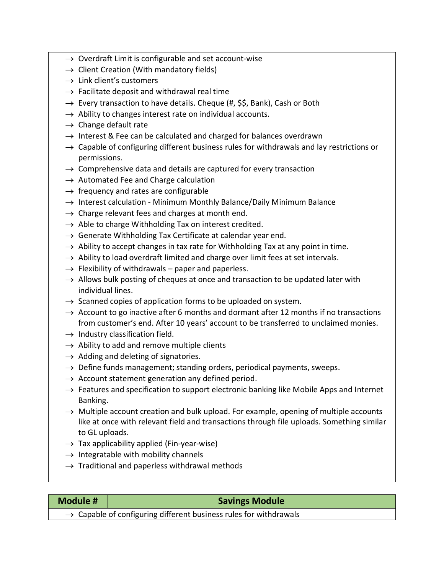- $\rightarrow$  Overdraft Limit is configurable and set account-wise
- $\rightarrow$  Client Creation (With mandatory fields)
- $\rightarrow$  Link client's customers
- $\rightarrow$  Facilitate deposit and withdrawal real time
- $\rightarrow$  Every transaction to have details. Cheque (#, \$\$, Bank), Cash or Both
- $\rightarrow$  Ability to changes interest rate on individual accounts.
- $\rightarrow$  Change default rate
- $\rightarrow$  Interest & Fee can be calculated and charged for balances overdrawn
- $\rightarrow$  Capable of configuring different business rules for withdrawals and lay restrictions or permissions.
- $\rightarrow$  Comprehensive data and details are captured for every transaction
- $\rightarrow$  Automated Fee and Charge calculation
- $\rightarrow$  frequency and rates are configurable
- $\rightarrow$  Interest calculation Minimum Monthly Balance/Daily Minimum Balance
- $\rightarrow$  Charge relevant fees and charges at month end.
- $\rightarrow$  Able to charge Withholding Tax on interest credited.
- $\rightarrow$  Generate Withholding Tax Certificate at calendar year end.
- $\rightarrow$  Ability to accept changes in tax rate for Withholding Tax at any point in time.
- $\rightarrow$  Ability to load overdraft limited and charge over limit fees at set intervals.
- $\rightarrow$  Flexibility of withdrawals paper and paperless.
- $\rightarrow$  Allows bulk posting of cheques at once and transaction to be updated later with individual lines.
- $\rightarrow$  Scanned copies of application forms to be uploaded on system.
- $\rightarrow$  Account to go inactive after 6 months and dormant after 12 months if no transactions from customer's end. After 10 years' account to be transferred to unclaimed monies.
- $\rightarrow$  Industry classification field.
- $\rightarrow$  Ability to add and remove multiple clients
- $\rightarrow$  Adding and deleting of signatories.
- $\rightarrow$  Define funds management; standing orders, periodical payments, sweeps.
- $\rightarrow$  Account statement generation any defined period.
- $\rightarrow$  Features and specification to support electronic banking like Mobile Apps and Internet Banking.
- $\rightarrow$  Multiple account creation and bulk upload. For example, opening of multiple accounts like at once with relevant field and transactions through file uploads. Something similar to GL uploads.
- $\rightarrow$  Tax applicability applied (Fin-year-wise)
- $\rightarrow$  Integratable with mobility channels
- $\rightarrow$  Traditional and paperless withdrawal methods

| Module #                                                                      | <b>Savings Module</b> |
|-------------------------------------------------------------------------------|-----------------------|
| $\rightarrow$ Capable of configuring different business rules for withdrawals |                       |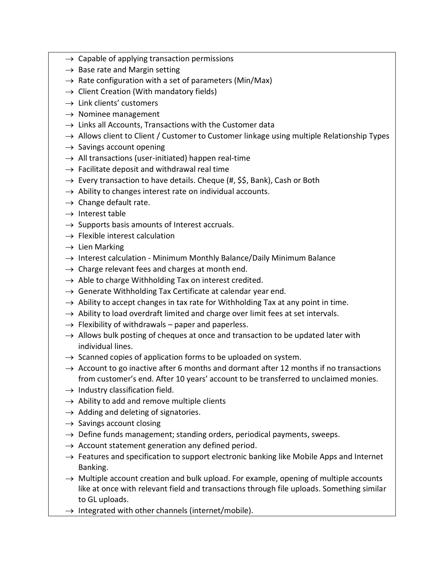- $\rightarrow$  Capable of applying transaction permissions
- $\rightarrow$  Base rate and Margin setting
- $\rightarrow$  Rate configuration with a set of parameters (Min/Max)
- $\rightarrow$  Client Creation (With mandatory fields)
- $\rightarrow$  Link clients' customers
- $\rightarrow$  Nominee management
- $\rightarrow$  Links all Accounts, Transactions with the Customer data
- $\rightarrow$  Allows client to Client / Customer to Customer linkage using multiple Relationship Types
- $\rightarrow$  Savings account opening
- $\rightarrow$  All transactions (user-initiated) happen real-time
- $\rightarrow$  Facilitate deposit and withdrawal real time
- $\rightarrow$  Every transaction to have details. Cheque (#, \$\$, Bank), Cash or Both
- $\rightarrow$  Ability to changes interest rate on individual accounts.
- $\rightarrow$  Change default rate.
- $\rightarrow$  Interest table
- $\rightarrow$  Supports basis amounts of Interest accruals.
- $\rightarrow$  Flexible interest calculation
- $\rightarrow$  Lien Marking
- $\rightarrow$  Interest calculation Minimum Monthly Balance/Daily Minimum Balance
- $\rightarrow$  Charge relevant fees and charges at month end.
- $\rightarrow$  Able to charge Withholding Tax on interest credited.
- $\rightarrow$  Generate Withholding Tax Certificate at calendar year end.
- $\rightarrow$  Ability to accept changes in tax rate for Withholding Tax at any point in time.
- $\rightarrow$  Ability to load overdraft limited and charge over limit fees at set intervals.
- $\rightarrow$  Flexibility of withdrawals paper and paperless.
- $\rightarrow$  Allows bulk posting of cheques at once and transaction to be updated later with individual lines.
- $\rightarrow$  Scanned copies of application forms to be uploaded on system.
- $\rightarrow$  Account to go inactive after 6 months and dormant after 12 months if no transactions from customer's end. After 10 years' account to be transferred to unclaimed monies.
- $\rightarrow$  Industry classification field.
- $\rightarrow$  Ability to add and remove multiple clients
- $\rightarrow$  Adding and deleting of signatories.
- $\rightarrow$  Savings account closing
- $\rightarrow$  Define funds management; standing orders, periodical payments, sweeps.
- $\rightarrow$  Account statement generation any defined period.
- $\rightarrow$  Features and specification to support electronic banking like Mobile Apps and Internet Banking.
- $\rightarrow$  Multiple account creation and bulk upload. For example, opening of multiple accounts like at once with relevant field and transactions through file uploads. Something similar to GL uploads.
- $\rightarrow$  Integrated with other channels (internet/mobile).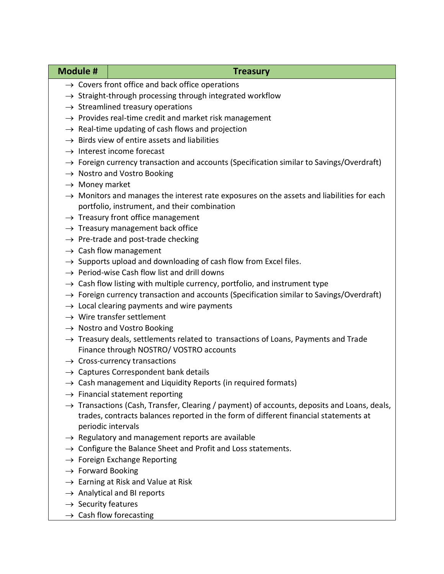### **Module # Treasury**

- $\rightarrow$  Covers front office and back office operations
- $\rightarrow$  Straight-through processing through integrated workflow
- $\rightarrow$  Streamlined treasury operations
- $\rightarrow$  Provides real-time credit and market risk management
- $\rightarrow$  Real-time updating of cash flows and projection
- $\rightarrow$  Birds view of entire assets and liabilities
- $\rightarrow$  Interest income forecast
- $\rightarrow$  Foreign currency transaction and accounts (Specification similar to Savings/Overdraft)
- $\rightarrow$  Nostro and Vostro Booking
- $\rightarrow$  Money market
- $\rightarrow$  Monitors and manages the interest rate exposures on the assets and liabilities for each portfolio, instrument, and their combination
- $\rightarrow$  Treasury front office management
- $\rightarrow$  Treasury management back office
- $\rightarrow$  Pre-trade and post-trade checking
- $\rightarrow$  Cash flow management
- $\rightarrow$  Supports upload and downloading of cash flow from Excel files.
- $\rightarrow$  Period-wise Cash flow list and drill downs
- $\rightarrow$  Cash flow listing with multiple currency, portfolio, and instrument type
- $\rightarrow$  Foreign currency transaction and accounts (Specification similar to Savings/Overdraft)
- $\rightarrow$  Local clearing payments and wire payments
- $\rightarrow$  Wire transfer settlement
- $\rightarrow$  Nostro and Vostro Booking
- $\rightarrow$  Treasury deals, settlements related to transactions of Loans, Payments and Trade Finance through NOSTRO/ VOSTRO accounts
- $\rightarrow$  Cross-currency transactions
- $\rightarrow$  Captures Correspondent bank details
- $\rightarrow$  Cash management and Liquidity Reports (in required formats)
- $\rightarrow$  Financial statement reporting
- $\rightarrow$  Transactions (Cash, Transfer, Clearing / payment) of accounts, deposits and Loans, deals, trades, contracts balances reported in the form of different financial statements at periodic intervals
- $\rightarrow$  Regulatory and management reports are available
- $\rightarrow$  Configure the Balance Sheet and Profit and Loss statements.
- $\rightarrow$  Foreign Exchange Reporting
- $\rightarrow$  Forward Booking
- $\rightarrow$  Earning at Risk and Value at Risk
- $\rightarrow$  Analytical and BI reports
- $\rightarrow$  Security features
- $\rightarrow$  Cash flow forecasting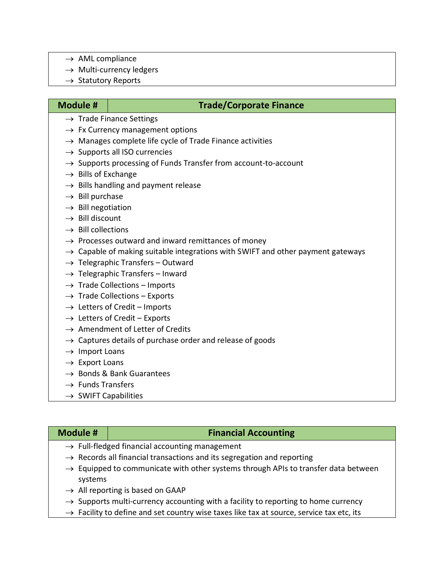- $\rightarrow$  AML compliance
- $\rightarrow$  Multi-currency ledgers
- $\rightarrow$  Statutory Reports

# **Module # Trade/Corporate Finance**

- $\rightarrow$  Trade Finance Settings
- $\rightarrow$  Fx Currency management options
- $\rightarrow$  Manages complete life cycle of Trade Finance activities
- $\rightarrow$  Supports all ISO currencies
- $\rightarrow$  Supports processing of Funds Transfer from account-to-account
- $\rightarrow$  Bills of Exchange
- $\rightarrow$  Bills handling and payment release
- $\rightarrow$  Bill purchase
- $\rightarrow$  Bill negotiation
- $\rightarrow$  Bill discount
- $\rightarrow$  Bill collections
- $\rightarrow$  Processes outward and inward remittances of money
- $\rightarrow$  Capable of making suitable integrations with SWIFT and other payment gateways
- $\rightarrow$  Telegraphic Transfers Outward
- $\rightarrow$  Telegraphic Transfers Inward
- $\rightarrow$  Trade Collections Imports
- $\rightarrow$  Trade Collections Exports
- $\rightarrow$  Letters of Credit Imports
- $\rightarrow$  Letters of Credit Exports
- $\rightarrow$  Amendment of Letter of Credits
- $\rightarrow$  Captures details of purchase order and release of goods
- $\rightarrow$  Import Loans
- $\rightarrow$  Export Loans
- $\rightarrow$  Bonds & Bank Guarantees
- $\rightarrow$  Funds Transfers
- $\rightarrow$  SWIFT Capabilities

### **Module # Financial Accounting**

- $\rightarrow$  Full-fledged financial accounting management
- $\rightarrow$  Records all financial transactions and its segregation and reporting
- $\rightarrow$  Equipped to communicate with other systems through APIs to transfer data between systems
- $\rightarrow$  All reporting is based on GAAP
- $\rightarrow$  Supports multi-currency accounting with a facility to reporting to home currency
- $\rightarrow$  Facility to define and set country wise taxes like tax at source, service tax etc, its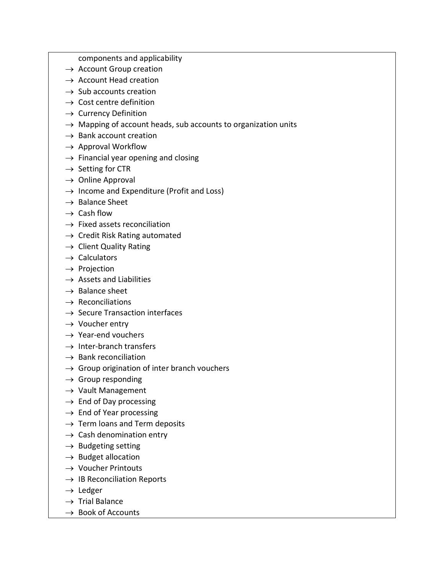components and applicability

- $\rightarrow$  Account Group creation
- $\rightarrow$  Account Head creation
- $\rightarrow$  Sub accounts creation
- $\rightarrow$  Cost centre definition
- $\rightarrow$  Currency Definition
- $\rightarrow$  Mapping of account heads, sub accounts to organization units
- $\rightarrow$  Bank account creation
- $\rightarrow$  Approval Workflow
- $\rightarrow$  Financial year opening and closing
- $\rightarrow$  Setting for CTR
- $\rightarrow$  Online Approval
- $\rightarrow$  Income and Expenditure (Profit and Loss)
- $\rightarrow$  Balance Sheet
- $\rightarrow$  Cash flow
- $\rightarrow$  Fixed assets reconciliation
- $\rightarrow$  Credit Risk Rating automated
- $\rightarrow$  Client Quality Rating
- $\rightarrow$  Calculators
- $\rightarrow$  Projection
- $\rightarrow$  Assets and Liabilities
- $\rightarrow$  Balance sheet
- $\rightarrow$  Reconciliations
- $\rightarrow$  Secure Transaction interfaces
- $\rightarrow$  Voucher entry
- $\rightarrow$  Year-end vouchers
- $\rightarrow$  Inter-branch transfers
- $\rightarrow$  Bank reconciliation
- $\rightarrow$  Group origination of inter branch vouchers
- $\rightarrow$  Group responding
- $\rightarrow$  Vault Management
- $\rightarrow$  End of Day processing
- $\rightarrow$  End of Year processing
- $\rightarrow$  Term loans and Term deposits
- $\rightarrow$  Cash denomination entry
- $\rightarrow$  Budgeting setting
- $\rightarrow$  Budget allocation
- $\rightarrow$  Voucher Printouts
- $\rightarrow$  IB Reconciliation Reports
- $\rightarrow$  Ledger
- $\rightarrow$  Trial Balance
- $\rightarrow$  Book of Accounts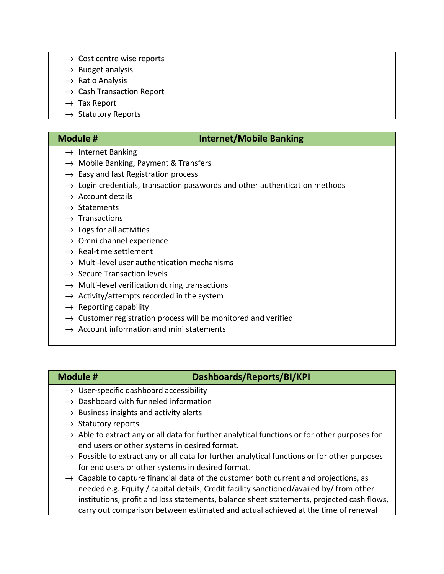- $\rightarrow$  Cost centre wise reports
- $\rightarrow$  Budget analysis
- $\rightarrow$  Ratio Analysis
- $\rightarrow$  Cash Transaction Report
- $\rightarrow$  Tax Report
- $\rightarrow$  Statutory Reports

# **Module # Internet/Mobile Banking**

- $\rightarrow$  Internet Banking
- $\rightarrow$  Mobile Banking, Payment & Transfers
- $\rightarrow$  Easy and fast Registration process
- $\rightarrow$  Login credentials, transaction passwords and other authentication methods
- $\rightarrow$  Account details
- $\rightarrow$  Statements
- $\rightarrow$  Transactions
- $\rightarrow$  Logs for all activities
- $\rightarrow$  Omni channel experience
- $\rightarrow$  Real-time settlement
- $\rightarrow$  Multi-level user authentication mechanisms
- $\rightarrow$  Secure Transaction levels
- $\rightarrow$  Multi-level verification during transactions
- $\rightarrow$  Activity/attempts recorded in the system
- $\rightarrow$  Reporting capability
- $\rightarrow$  Customer registration process will be monitored and verified
- $\rightarrow$  Account information and mini statements

# **Module # Dashboards/Reports/BI/KPI**

- $\rightarrow$  User-specific dashboard accessibility
- $\rightarrow$  Dashboard with funneled information
- $\rightarrow$  Business insights and activity alerts
- $\rightarrow$  Statutory reports
- $\rightarrow$  Able to extract any or all data for further analytical functions or for other purposes for end users or other systems in desired format.
- $\rightarrow$  Possible to extract any or all data for further analytical functions or for other purposes for end users or other systems in desired format.
- $\rightarrow$  Capable to capture financial data of the customer both current and projections, as needed e.g. Equity / capital details, Credit facility sanctioned/availed by/ from other institutions, profit and loss statements, balance sheet statements, projected cash flows, carry out comparison between estimated and actual achieved at the time of renewal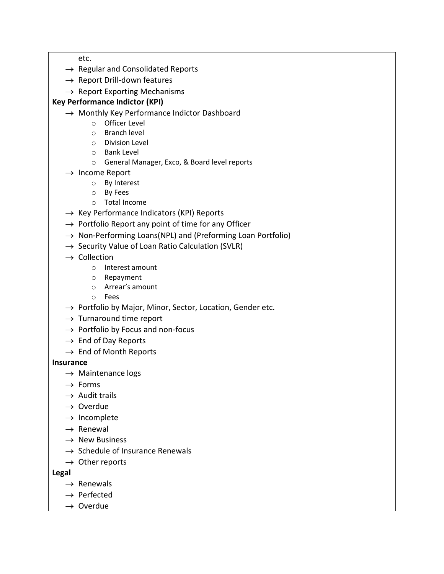etc.

- $\rightarrow$  Regular and Consolidated Reports
- $\rightarrow$  Report Drill-down features
- $\rightarrow$  Report Exporting Mechanisms

# **Key Performance Indictor (KPI)**

- $\rightarrow$  Monthly Key Performance Indictor Dashboard
	- o Officer Level
	- o Branch level
	- o Division Level
	- o Bank Level
	- o General Manager, Exco, & Board level reports
- $\rightarrow$  Income Report
	- o By Interest
	- o By Fees
	- o Total Income
- $\rightarrow$  Key Performance Indicators (KPI) Reports
- $\rightarrow$  Portfolio Report any point of time for any Officer
- $\rightarrow$  Non-Performing Loans(NPL) and (Preforming Loan Portfolio)
- $\rightarrow$  Security Value of Loan Ratio Calculation (SVLR)
- $\rightarrow$  Collection
	- o Interest amount
	- o Repayment
	- o Arrear's amount
	- o Fees
- $\rightarrow$  Portfolio by Major, Minor, Sector, Location, Gender etc.
- $\rightarrow$  Turnaround time report
- $\rightarrow$  Portfolio by Focus and non-focus
- $\rightarrow$  End of Day Reports
- $\rightarrow$  End of Month Reports

### **Insurance**

- $\rightarrow$  Maintenance logs
- $\rightarrow$  Forms
- $\rightarrow$  Audit trails
- $\rightarrow$  Overdue
- $\rightarrow$  Incomplete
- $\rightarrow$  Renewal
- $\rightarrow$  New Business
- $\rightarrow$  Schedule of Insurance Renewals
- $\rightarrow$  Other reports

### **Legal**

- $\rightarrow$  Renewals
- $\rightarrow$  Perfected
- $\rightarrow$  Overdue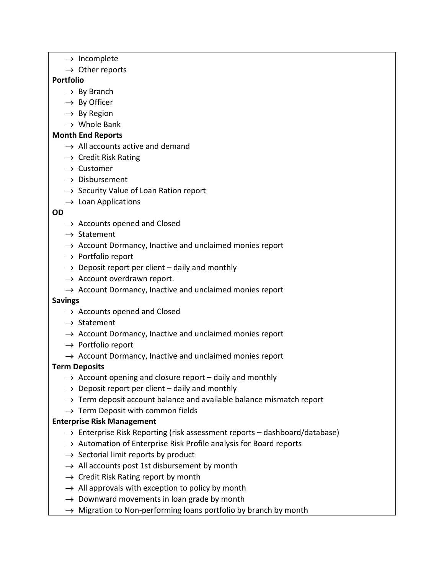- $\rightarrow$  Incomplete
- $\rightarrow$  Other reports

# **Portfolio**

- $\rightarrow$  By Branch
- $\rightarrow$  By Officer
- $\rightarrow$  By Region
- $\rightarrow$  Whole Bank

# **Month End Reports**

- $\rightarrow$  All accounts active and demand
- $\rightarrow$  Credit Risk Rating
- $\rightarrow$  Customer
- $\rightarrow$  Disbursement
- $\rightarrow$  Security Value of Loan Ration report
- $\rightarrow$  Loan Applications

### **OD**

- $\rightarrow$  Accounts opened and Closed
- $\rightarrow$  Statement
- $\rightarrow$  Account Dormancy, Inactive and unclaimed monies report
- $\rightarrow$  Portfolio report
- $\rightarrow$  Deposit report per client daily and monthly
- $\rightarrow$  Account overdrawn report.
- $\rightarrow$  Account Dormancy, Inactive and unclaimed monies report

### **Savings**

- $\rightarrow$  Accounts opened and Closed
- $\rightarrow$  Statement
- $\rightarrow$  Account Dormancy, Inactive and unclaimed monies report
- $\rightarrow$  Portfolio report
- $\rightarrow$  Account Dormancy, Inactive and unclaimed monies report

# **Term Deposits**

- $\rightarrow$  Account opening and closure report daily and monthly
- $\rightarrow$  Deposit report per client daily and monthly
- $\rightarrow$  Term deposit account balance and available balance mismatch report
- $\rightarrow$  Term Deposit with common fields

### **Enterprise Risk Management**

- $\rightarrow$  Enterprise Risk Reporting (risk assessment reports dashboard/database)
- $\rightarrow$  Automation of Enterprise Risk Profile analysis for Board reports
- $\rightarrow$  Sectorial limit reports by product
- $\rightarrow$  All accounts post 1st disbursement by month
- $\rightarrow$  Credit Risk Rating report by month
- $\rightarrow$  All approvals with exception to policy by month
- $\rightarrow$  Downward movements in loan grade by month
- $\rightarrow$  Migration to Non-performing loans portfolio by branch by month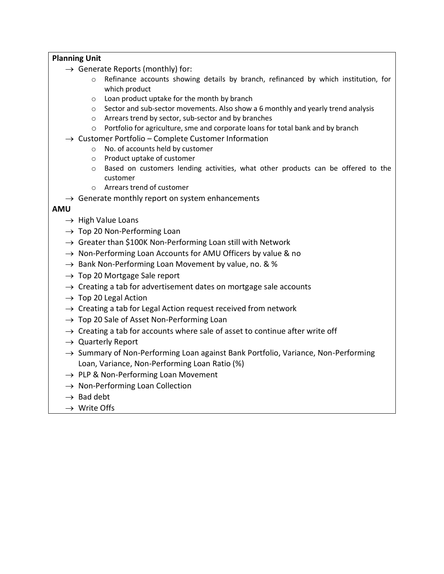### **Planning Unit**

- $\rightarrow$  Generate Reports (monthly) for:
	- o Refinance accounts showing details by branch, refinanced by which institution, for which product
	- o Loan product uptake for the month by branch
	- $\circ$  Sector and sub-sector movements. Also show a 6 monthly and yearly trend analysis
	- o Arrears trend by sector, sub-sector and by branches
	- o Portfolio for agriculture, sme and corporate loans for total bank and by branch
- $\rightarrow$  Customer Portfolio Complete Customer Information
	- o No. of accounts held by customer
	- o Product uptake of customer
	- $\circ$  Based on customers lending activities, what other products can be offered to the customer
	- o Arrears trend of customer
- $\rightarrow$  Generate monthly report on system enhancements

### **AMU**

- $\rightarrow$  High Value Loans
- $\rightarrow$  Top 20 Non-Performing Loan
- $\rightarrow$  Greater than \$100K Non-Performing Loan still with Network
- $\rightarrow$  Non-Performing Loan Accounts for AMU Officers by value & no
- $\rightarrow$  Bank Non-Performing Loan Movement by value, no. & %
- $\rightarrow$  Top 20 Mortgage Sale report
- $\rightarrow$  Creating a tab for advertisement dates on mortgage sale accounts
- $\rightarrow$  Top 20 Legal Action
- $\rightarrow$  Creating a tab for Legal Action request received from network
- $\rightarrow$  Top 20 Sale of Asset Non-Performing Loan
- $\rightarrow$  Creating a tab for accounts where sale of asset to continue after write off
- $\rightarrow$  Quarterly Report
- $\rightarrow$  Summary of Non-Performing Loan against Bank Portfolio, Variance, Non-Performing Loan, Variance, Non-Performing Loan Ratio (%)
- $\rightarrow$  PLP & Non-Performing Loan Movement
- $\rightarrow$  Non-Performing Loan Collection
- $\rightarrow$  Bad debt
- $\rightarrow$  Write Offs